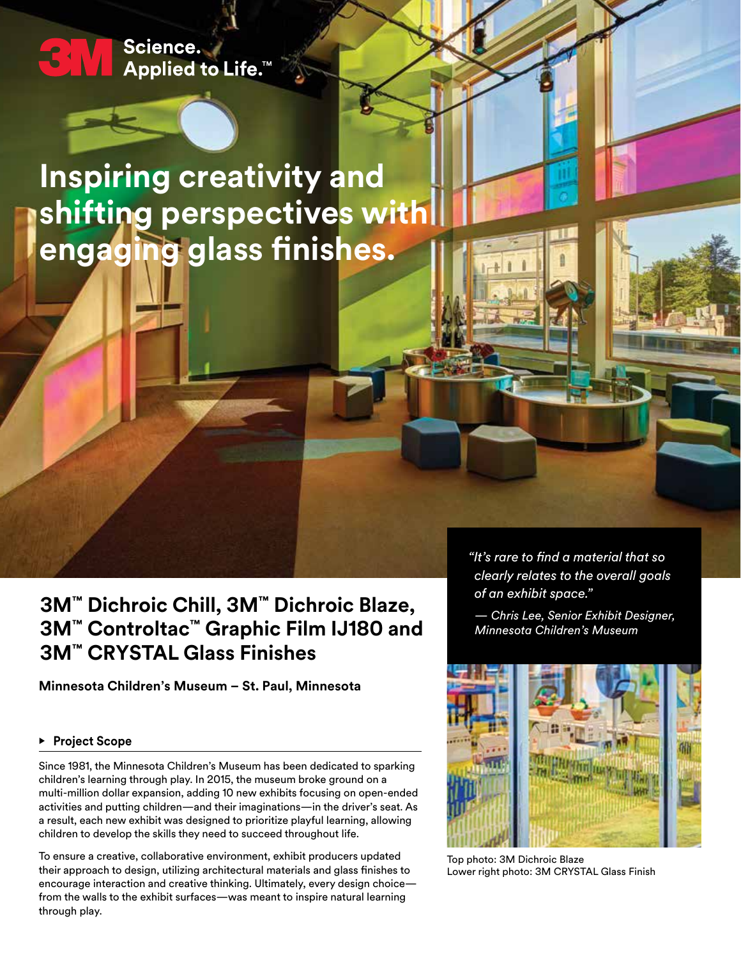# Science. **Applied to Life.™**

**Inspiring creativity and shifting perspectives with engaging glass finishes.**

**3M™ Dichroic Chill, 3M™ Dichroic Blaze, 3M™ Controltac™ Graphic Film IJ180 and 3M™ CRYSTAL Glass Finishes**

**Minnesota Children's Museum – St. Paul, Minnesota** 

## **• Project Scope**

Since 1981, the Minnesota Children's Museum has been dedicated to sparking children's learning through play. In 2015, the museum broke ground on a multi-million dollar expansion, adding 10 new exhibits focusing on open-ended activities and putting children—and their imaginations—in the driver's seat. As a result, each new exhibit was designed to prioritize playful learning, allowing children to develop the skills they need to succeed throughout life.

To ensure a creative, collaborative environment, exhibit producers updated their approach to design, utilizing architectural materials and glass finishes to encourage interaction and creative thinking. Ultimately, every design choice from the walls to the exhibit surfaces—was meant to inspire natural learning through play.

*"It's rare to find a material that so clearly relates to the overall goals of an exhibit space."*

*— Chris Lee, Senior Exhibit Designer, Minnesota Children's Museum*



Top photo: 3M Dichroic Blaze Lower right photo: 3M CRYSTAL Glass Finish